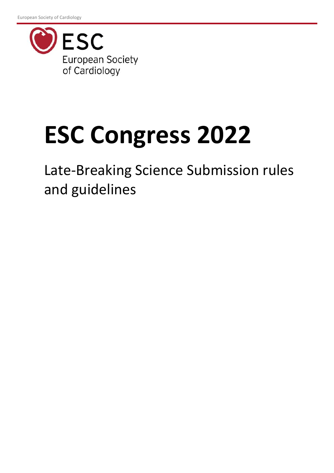

# **ESC Congress 2022**

Late-Breaking Science Submission rules and guidelines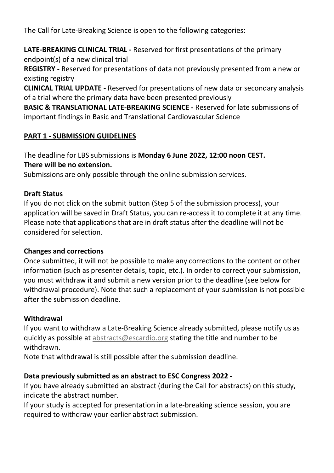The Call for Late-Breaking Science is open to the following categories:

**LATE-BREAKING CLINICAL TRIAL -** Reserved for first presentations of the primary endpoint(s) of a new clinical trial

**REGISTRY -** Reserved for presentations of data not previously presented from a new or existing registry

**CLINICAL TRIAL UPDATE -** Reserved for presentations of new data or secondary analysis of a trial where the primary data have been presented previously

**BASIC & TRANSLATIONAL LATE-BREAKING SCIENCE -** Reserved for late submissions of important findings in Basic and Translational Cardiovascular Science

## **PART 1 - SUBMISSION GUIDELINES**

The deadline for LBS submissions is **Monday 6 June 2022, 12:00 noon CEST. There will be no extension.**

Submissions are only possible through the online submission services.

#### **Draft Status**

If you do not click on the submit button (Step 5 of the submission process), your application will be saved in Draft Status, you can re-access it to complete it at any time. Please note that applications that are in draft status after the deadline will not be considered for selection.

#### **Changes and corrections**

Once submitted, it will not be possible to make any corrections to the content or other information (such as presenter details, topic, etc.). In order to correct your submission, you must withdraw it and submit a new version prior to the deadline (see below for withdrawal procedure). Note that such a replacement of your submission is not possible after the submission deadline.

#### **Withdrawal**

If you want to withdraw a Late-Breaking Science already submitted, please notify us as quickly as possible at [abstracts@escardio.org](mailto:abstracts@escardio.org) stating the title and number to be withdrawn.

Note that withdrawal is still possible after the submission deadline.

#### **Data previously submitted as an abstract to ESC Congress 2022 -**

If you have already submitted an abstract (during the Call for abstracts) on this study, indicate the abstract number.

If your study is accepted for presentation in a late-breaking science session, you are required to withdraw your earlier abstract submission.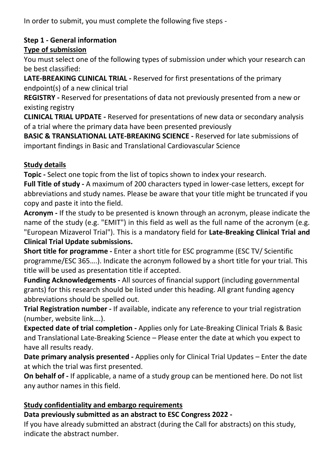In order to submit, you must complete the following five steps -

# **Step 1 - General information**

# **Type of submission**

You must select one of the following types of submission under which your research can be best classified:

**LATE-BREAKING CLINICAL TRIAL -** Reserved for first presentations of the primary endpoint(s) of a new clinical trial

**REGISTRY -** Reserved for presentations of data not previously presented from a new or existing registry

**CLINICAL TRIAL UPDATE -** Reserved for presentations of new data or secondary analysis of a trial where the primary data have been presented previously

**BASIC & TRANSLATIONAL LATE-BREAKING SCIENCE -** Reserved for late submissions of important findings in Basic and Translational Cardiovascular Science

# **Study details**

**Topic -** Select one topic from the list of topics shown to index your research.

**Full Title of study -** A maximum of 200 characters typed in lower-case letters, except for abbreviations and study names. Please be aware that your title might be truncated if you copy and paste it into the field.

**Acronym -** If the study to be presented is known through an acronym, please indicate the name of the study (e.g. "EMIT") in this field as well as the full name of the acronym (e.g. "European Mizaverol Trial"). This is a mandatory field for **Late-Breaking Clinical Trial and Clinical Trial Update submissions.** 

**Short title for programme -** Enter a short title for ESC programme (ESC TV/ Scientific programme/ESC 365….). Indicate the acronym followed by a short title for your trial. This title will be used as presentation title if accepted.

**Funding Acknowledgements -** All sources of financial support (including governmental grants) for this research should be listed under this heading. All grant funding agency abbreviations should be spelled out.

**Trial Registration number -** If available, indicate any reference to your trial registration (number, website link….).

**Expected date of trial completion -** Applies only for Late-Breaking Clinical Trials & Basic and Translational Late-Breaking Science – Please enter the date at which you expect to have all results ready.

**Date primary analysis presented -** Applies only for Clinical Trial Updates – Enter the date at which the trial was first presented.

**On behalf of -** If applicable, a name of a study group can be mentioned here. Do not list any author names in this field.

# **Study confidentiality and embargo requirements**

# **Data previously submitted as an abstract to ESC Congress 2022 -**

If you have already submitted an abstract (during the Call for abstracts) on this study, indicate the abstract number.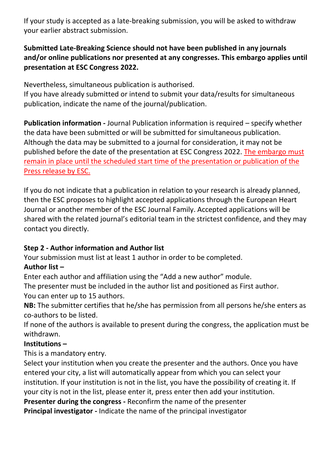If your study is accepted as a late-breaking submission, you will be asked to withdraw your earlier abstract submission.

## **Submitted Late-Breaking Science should not have been published in any journals and/or online publications nor presented at any congresses. This embargo applies until presentation at ESC Congress 2022.**

Nevertheless, simultaneous publication is authorised.

If you have already submitted or intend to submit your data/results for simultaneous publication, indicate the name of the journal/publication.

**Publication information -** Journal Publication information is required – specify whether the data have been submitted or will be submitted for simultaneous publication. Although the data may be submitted to a journal for consideration, it may not be published before the date of the presentation at ESC Congress 2022. The embargo must remain in place until the scheduled start time of the presentation or publication of the Press release by ESC.

If you do not indicate that a publication in relation to your research is already planned, then the ESC proposes to highlight accepted applications through the European Heart Journal or another member of the ESC Journal Family. Accepted applications will be shared with the related journal's editorial team in the strictest confidence, and they may contact you directly.

# **Step 2 - Author information and Author list**

Your submission must list at least 1 author in order to be completed.

# **Author list –**

Enter each author and affiliation using the "Add a new author" module.

The presenter must be included in the author list and positioned as First author. You can enter up to 15 authors.

**NB:** The submitter certifies that he/she has permission from all persons he/she enters as co-authors to be listed.

If none of the authors is available to present during the congress, the application must be withdrawn.

#### **Institutions –**

This is a mandatory entry.

Select your institution when you create the presenter and the authors. Once you have entered your city, a list will automatically appear from which you can select your institution. If your institution is not in the list, you have the possibility of creating it. If your city is not in the list, please enter it, press enter then add your institution.

**Presenter during the congress -** Reconfirm the name of the presenter

**Principal investigator -** Indicate the name of the principal investigator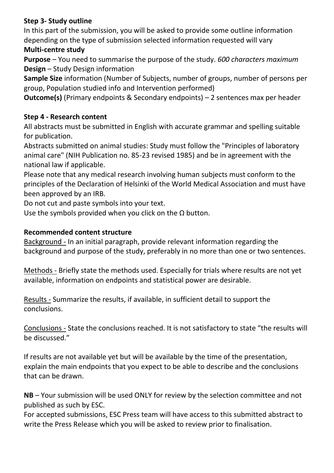## **Step 3- Study outline**

In this part of the submission, you will be asked to provide some outline information depending on the type of submission selected information requested will vary

#### **Multi-centre study**

**Purpose** – You need to summarise the purpose of the study. *600 characters maximum* **Design** – Study Design information

**Sample Size** information (Number of Subjects, number of groups, number of persons per group, Population studied info and Intervention performed)

**Outcome(s)** (Primary endpoints & Secondary endpoints) – 2 sentences max per header

# **Step 4 - Research content**

All abstracts must be submitted in English with accurate grammar and spelling suitable for publication.

Abstracts submitted on animal studies: Study must follow the "Principles of laboratory animal care" (NIH Publication no. 85-23 revised 1985) and be in agreement with the national law if applicable.

Please note that any medical research involving human subjects must conform to the principles of the Declaration of Helsinki of the World Medical Association and must have been approved by an IRB.

Do not cut and paste symbols into your text.

Use the symbols provided when you click on the  $\Omega$  button.

## **Recommended content structure**

Background - In an initial paragraph, provide relevant information regarding the background and purpose of the study, preferably in no more than one or two sentences.

Methods - Briefly state the methods used. Especially for trials where results are not yet available, information on endpoints and statistical power are desirable.

Results - Summarize the results, if available, in sufficient detail to support the conclusions.

Conclusions - State the conclusions reached. It is not satisfactory to state "the results will be discussed."

If results are not available yet but will be available by the time of the presentation, explain the main endpoints that you expect to be able to describe and the conclusions that can be drawn.

**NB** – Your submission will be used ONLY for review by the selection committee and not published as such by ESC.

For accepted submissions, ESC Press team will have access to this submitted abstract to write the Press Release which you will be asked to review prior to finalisation.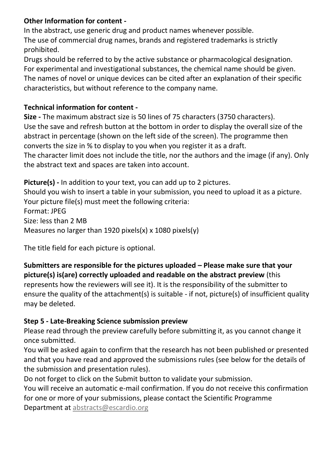#### **Other Information for content -**

In the abstract, use generic drug and product names whenever possible. The use of commercial drug names, brands and registered trademarks is strictly prohibited.

Drugs should be referred to by the active substance or pharmacological designation. For experimental and investigational substances, the chemical name should be given. The names of novel or unique devices can be cited after an explanation of their specific characteristics, but without reference to the company name.

## **Technical information for content -**

**Size -** The maximum abstract size is 50 lines of 75 characters (3750 characters). Use the save and refresh button at the bottom in order to display the overall size of the abstract in percentage (shown on the left side of the screen). The programme then converts the size in % to display to you when you register it as a draft.

The character limit does not include the title, nor the authors and the image (if any). Only the abstract text and spaces are taken into account.

**Picture(s) -** In addition to your text, you can add up to 2 pictures. Should you wish to insert a table in your submission, you need to upload it as a picture. Your picture file(s) must meet the following criteria: Format: JPEG Size: less than 2 MB Measures no larger than 1920 pixels(x) x 1080 pixels(y)

The title field for each picture is optional.

# **Submitters are responsible for the pictures uploaded – Please make sure that your picture(s) is(are) correctly uploaded and readable on the abstract preview** (this represents how the reviewers will see it). It is the responsibility of the submitter to

ensure the quality of the attachment(s) is suitable - if not, picture(s) of insufficient quality may be deleted.

#### **Step 5 - Late-Breaking Science submission preview**

Please read through the preview carefully before submitting it, as you cannot change it once submitted.

You will be asked again to confirm that the research has not been published or presented and that you have read and approved the submissions rules (see below for the details of the submission and presentation rules).

Do not forget to click on the Submit button to validate your submission.

You will receive an automatic e-mail confirmation. If you do not receive this confirmation for one or more of your submissions, please contact the Scientific Programme Department at [abstracts@escardio.org](mailto:abstracts@escardio.org)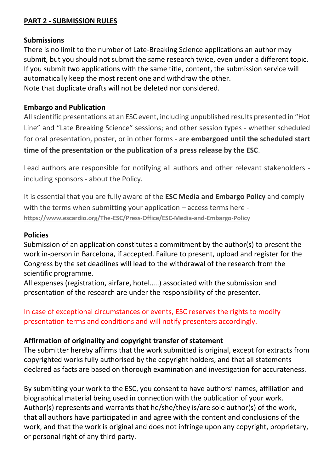#### **PART 2 - SUBMISSION RULES**

#### **Submissions**

There is no limit to the number of Late-Breaking Science applications an author may submit, but you should not submit the same research twice, even under a different topic. If you submit two applications with the same title, content, the submission service will automatically keep the most recent one and withdraw the other. Note that duplicate drafts will not be deleted nor considered.

#### **Embargo and Publication**

All scientific presentations at an ESC event, including unpublished results presented in "Hot Line" and "Late Breaking Science" sessions; and other session types - whether scheduled for oral presentation, poster, or in other forms - are **embargoed until the scheduled start time of the presentation or the publication of a press release by the ESC**.

Lead authors are responsible for notifying all authors and other relevant stakeholders including sponsors - about the Policy.

It is essential that you are fully aware of the **ESC Media and Embargo Policy** and comply with the terms when submitting your application – access terms here **<https://www.escardio.org/The-ESC/Press-Office/ESC-Media-and-Embargo-Policy>**

#### **Policies**

Submission of an application constitutes a commitment by the author(s) to present the work in-person in Barcelona, if accepted. Failure to present, upload and register for the Congress by the set deadlines will lead to the withdrawal of the research from the scientific programme.

All expenses (registration, airfare, hotel…..) associated with the submission and presentation of the research are under the responsibility of the presenter.

In case of exceptional circumstances or events, ESC reserves the rights to modify presentation terms and conditions and will notify presenters accordingly.

#### **Affirmation of originality and copyright transfer of statement**

The submitter hereby affirms that the work submitted is original, except for extracts from copyrighted works fully authorised by the copyright holders, and that all statements declared as facts are based on thorough examination and investigation for accurateness.

By submitting your work to the ESC, you consent to have authors' names, affiliation and biographical material being used in connection with the publication of your work. Author(s) represents and warrants that he/she/they is/are sole author(s) of the work, that all authors have participated in and agree with the content and conclusions of the work, and that the work is original and does not infringe upon any copyright, proprietary, or personal right of any third party.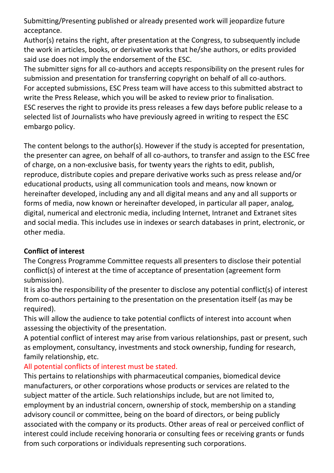Submitting/Presenting published or already presented work will jeopardize future acceptance.

Author(s) retains the right, after presentation at the Congress, to subsequently include the work in articles, books, or derivative works that he/she authors, or edits provided said use does not imply the endorsement of the ESC.

The submitter signs for all co-authors and accepts responsibility on the present rules for submission and presentation for transferring copyright on behalf of all co-authors. For accepted submissions, ESC Press team will have access to this submitted abstract to write the Press Release, which you will be asked to review prior to finalisation. ESC reserves the right to provide its press releases a few days before public release to a selected list of Journalists who have previously agreed in writing to respect the ESC embargo policy.

The content belongs to the author(s). However if the study is accepted for presentation, the presenter can agree, on behalf of all co-authors, to transfer and assign to the ESC free of charge, on a non-exclusive basis, for twenty years the rights to edit, publish, reproduce, distribute copies and prepare derivative works such as press release and/or educational products, using all communication tools and means, now known or hereinafter developed, including any and all digital means and any and all supports or forms of media, now known or hereinafter developed, in particular all paper, analog, digital, numerical and electronic media, including Internet, Intranet and Extranet sites and social media. This includes use in indexes or search databases in print, electronic, or other media.

# **Conflict of interest**

The Congress Programme Committee requests all presenters to disclose their potential conflict(s) of interest at the time of acceptance of presentation (agreement form submission).

It is also the responsibility of the presenter to disclose any potential conflict(s) of interest from co-authors pertaining to the presentation on the presentation itself (as may be required).

This will allow the audience to take potential conflicts of interest into account when assessing the objectivity of the presentation.

A potential conflict of interest may arise from various relationships, past or present, such as employment, consultancy, investments and stock ownership, funding for research, family relationship, etc.

# All potential conflicts of interest must be stated.

This pertains to relationships with pharmaceutical companies, biomedical device manufacturers, or other corporations whose products or services are related to the subject matter of the article. Such relationships include, but are not limited to, employment by an industrial concern, ownership of stock, membership on a standing advisory council or committee, being on the board of directors, or being publicly associated with the company or its products. Other areas of real or perceived conflict of interest could include receiving honoraria or consulting fees or receiving grants or funds from such corporations or individuals representing such corporations.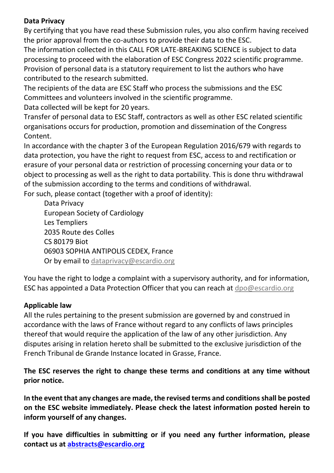#### **Data Privacy**

By certifying that you have read these Submission rules, you also confirm having received the prior approval from the co-authors to provide their data to the ESC.

The information collected in this CALL FOR LATE-BREAKING SCIENCE is subject to data processing to proceed with the elaboration of ESC Congress 2022 scientific programme. Provision of personal data is a statutory requirement to list the authors who have contributed to the research submitted.

The recipients of the data are ESC Staff who process the submissions and the ESC Committees and volunteers involved in the scientific programme.

Data collected will be kept for 20 years.

Transfer of personal data to ESC Staff, contractors as well as other ESC related scientific organisations occurs for production, promotion and dissemination of the Congress Content.

In accordance with the chapter 3 of the European Regulation 2016/679 with regards to data protection, you have the right to request from ESC, access to and rectification or erasure of your personal data or restriction of processing concerning your data or to object to processing as well as the right to data portability. This is done thru withdrawal of the submission according to the terms and conditions of withdrawal. For such, please contact (together with a proof of identity):

Data Privacy European Society of Cardiology Les Templiers 2035 Route des Colles CS 80179 Biot 06903 SOPHIA ANTIPOLIS CEDEX, France Or by email to [dataprivacy@escardio.org](mailto:dataprivacy@escardio.org)

You have the right to lodge a complaint with a supervisory authority, and for information, ESC has appointed a Data Protection Officer that you can reach at [dpo@escardio.org](mailto:dpo@escardio.org)

# **Applicable law**

All the rules pertaining to the present submission are governed by and construed in accordance with the laws of France without regard to any conflicts of laws principles thereof that would require the application of the law of any other jurisdiction. Any disputes arising in relation hereto shall be submitted to the exclusive jurisdiction of the French Tribunal de Grande Instance located in Grasse, France.

**The ESC reserves the right to change these terms and conditions at any time without prior notice.**

**In the event that any changes are made, the revised terms and conditions shall be posted on the ESC website immediately. Please check the latest information posted herein to inform yourself of any changes.** 

**If you have difficulties in submitting or if you need any further information, please contact us at [abstracts@escardio.org](mailto:abstracts@escardio.org)**